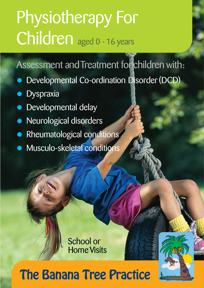# Physiotherapy For Children aged 0 - 16 years

### Assessment and Treatment for children with:

- Developmental Co-ordination Disorder (DCD)
- **Dyspraxia**
- Developmental delay
- Neurological disorders
- Rheumatological conditions
- Musculo-skeletal conditions

School or Home Visits

## The Banana Tree Practice

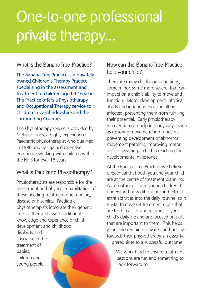## One-to-one professional private therapy...

#### What is the Banana Tree Practice?

The Banana Tree Practice is a privately owned Children's Therapy Practice specialising in the assessment and treatment of children aged 0-16 years. The Practice offers a Physiotherapy and Occupational Therapy service to children in Cambridgeshire and the surrounding Counties.

The Physiotherapy service is provided by Melanie Jones, a highly experienced Paediatric physiotherapist who qualified in 1990 and has gained extensive experience working with children within the NHS for over 18 years.

#### What is Paediatric Physiotherapy?

Physiotherapists are responsible for the assessment and physical rehabilitation of those needing treatment due to injury, disease or disability. Paediatric physiotherapists integrate their generic skills as therapists with additional knowledge and experience of child development and childhood disability and specialise in the treatment of babies, children and young people.

#### How can the Banana Tree Practice help your child?

There are many childhood conditions, some minor, some more severe, that can impact on a child's ability to move and function. Motor development, physical ability and independence can all be affected, preventing them from fulfilling their potential. Early physiotherapy intervention can help in many ways, such as restoring movement and function, preventing development of abnormal movement patterns, improving motor skills or assisting a child in reaching their developmental milestones.

At the Banana Tree Practice, we believe it is essential that both you and your child are at the centre of treatment planning. As a mother of three young children, I understand how difficult it can be to fit extra activities into the daily routine, so it is vital that we set treatment goals that are both realistic and relevant to your child's daily life and are focused on skills that are important to them. This helps your child remain motivated and positive towards their physiotherapy, an essential prerequisite to a successful outcome.

> We work hard to ensure treatment sessions are fun and something to look forward to.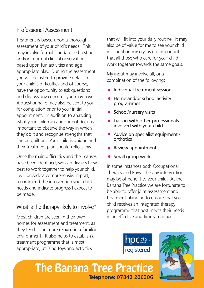#### Professional Assessment

Treatment is based upon a thorough assessment of your child's needs. This may involve formal standardised testing and/or informal clinical observation based upon fun activities and age appropriate play. During the assessment you will be asked to provide details of your child's difficulties and of course, have the opportunity to ask questions and discuss any concerns you may have. A questionnaire may also be sent to you for completion prior to your initial appointment. In addition to analysing what your child can and cannot do, it is important to observe the way in which they do it and recognise strengths that can be built on. Your child is unique and their treatment plan should reflect this.

Once the main difficulties and their causes have been identified, we can discuss how best to work together to help your child. I will provide a comprehensive report, recommend the intervention your child needs and indicate progress I expect to be made.

#### What is the therapy likely to involve?

Most children are seen in their own homes for assessment and treatment, as they tend to be more relaxed in a familiar environment. It also helps to establish a treatment programme that is most appropriate, utilising toys and activities

that will fit into your daily routine. It may also be of value for me to see your child in school or nursery, as it is important that all those who care for your child work together towards the same goals.

My input may involve all, or a combination of the following:

- Individual treatment sessions
- Home and/or school activity programmes
- School/nursery visits
- Liaison with other professionals involved with your child
- Advice on specialist equipment / orthotics
- Review appointments
- Small group work

In some instances both Occupational Therapy and Physiotherapy intervention may be of benefit to your child. At the Banana Tree Practice we are fortunate to be able to offer joint assessment and treatment planning to ensure that your child receives an integrated therapy programme that best meets their needs in an effective and timely manner.





The Banana Tree Practice **Telephone: 07842 206306**